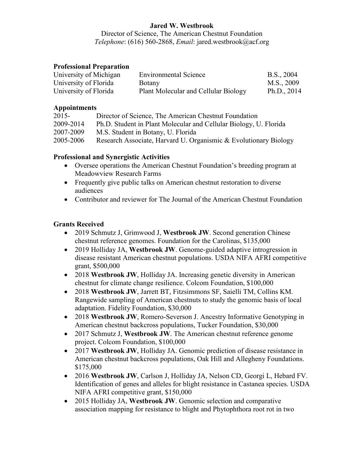# **Jared W. Westbrook**

Director of Science, The American Chestnut Foundation *Telephone*: (616) 560-2868, *Email*: jared.westbrook@acf.org

#### **Professional Preparation**

| University of Michigan | <b>Environmental Science</b>         | B.S., 2004    |
|------------------------|--------------------------------------|---------------|
| University of Florida  | Botany                               | M.S., 2009    |
| University of Florida  | Plant Molecular and Cellular Biology | Ph.D., $2014$ |

#### **Appointments**

| $2015 -$  | Director of Science, The American Chestnut Foundation             |
|-----------|-------------------------------------------------------------------|
| 2009-2014 | Ph.D. Student in Plant Molecular and Cellular Biology, U. Florida |
| 2007-2009 | M.S. Student in Botany, U. Florida                                |
| 2005-2006 | Research Associate, Harvard U. Organismic & Evolutionary Biology  |

## **Professional and Synergistic Activities**

- Oversee operations the American Chestnut Foundation's breeding program at Meadowview Research Farms
- Frequently give public talks on American chestnut restoration to diverse audiences
- Contributor and reviewer for The Journal of the American Chestnut Foundation

## **Grants Received**

- 2019 Schmutz J, Grimwood J, **Westbrook JW**. Second generation Chinese chestnut reference genomes. Foundation for the Carolinas, \$135,000
- 2019 Holliday JA, **Westbrook JW**. Genome-guided adaptive introgression in disease resistant American chestnut populations. USDA NIFA AFRI competitive grant, \$500,000
- 2018 **Westbrook JW**, Holliday JA. Increasing genetic diversity in American chestnut for climate change resilience. Colcom Foundation, \$100,000
- 2018 **Westbrook JW**, Jarrett BT, Fitzsimmons SF, Saielli TM, Collins KM. Rangewide sampling of American chestnuts to study the genomic basis of local adaptation. Fidelity Foundation, \$30,000
- 2018 **Westbrook JW**, Romero-Severson J. Ancestry Informative Genotyping in American chestnut backcross populations, Tucker Foundation, \$30,000
- 2017 Schmutz J, **Westbrook JW**. The American chestnut reference genome project. Colcom Foundation, \$100,000
- 2017 **Westbrook JW**, Holliday JA. Genomic prediction of disease resistance in American chestnut backcross populations, Oak Hill and Allegheny Foundations. \$175,000
- 2016 **Westbrook JW**, Carlson J, Holliday JA, Nelson CD, Georgi L, Hebard FV. Identification of genes and alleles for blight resistance in Castanea species. USDA NIFA AFRI competitive grant, \$150,000
- 2015 Holliday JA, **Westbrook JW**. Genomic selection and comparative association mapping for resistance to blight and Phytophthora root rot in two